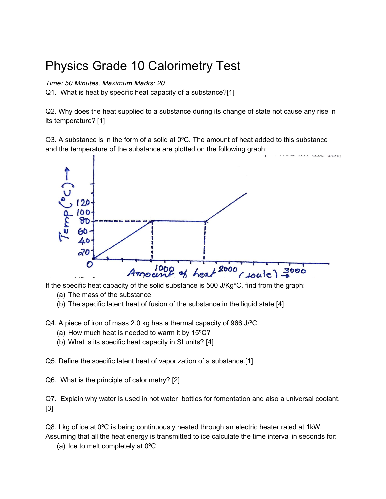## Physics Grade 10 Calorimetry Test

*Time: 50 Minutes, Maximum Marks: 20*

Q1. What is heat by specific heat capacity of a substance?[1]

Q2. Why does the heat supplied to a substance during its change of state not cause any rise in its temperature? [1]

 $Q3$ . A substance is in the form of a solid at  $0^{\circ}$ C. The amount of heat added to this substance and the temperature of the substance are plotted on the following graph:



If the specific heat capacity of the solid substance is 500 J/KgºC, find from the graph:

- (a) The mass of the substance
- (b) The specific latent heat of fusion of the substance in the liquid state [4]

Q4. A piece of iron of mass 2.0 kg has a thermal capacity of 966 J/ºC

- (a) How much heat is needed to warm it by 15ºC?
- (b) What is its specific heat capacity in SI units? [4]

Q5. Define the specific latent heat of vaporization of a substance.[1]

Q6. What is the principle of calorimetry? [2]

Q7. Explain why water is used in hot water bottles for fomentation and also a universal coolant. [3]

Q8. I kg of ice at 0ºC is being continuously heated through an electric heater rated at 1kW. Assuming that all the heat energy is transmitted to ice calculate the time interval in seconds for:

(a) Ice to melt completely at 0ºC